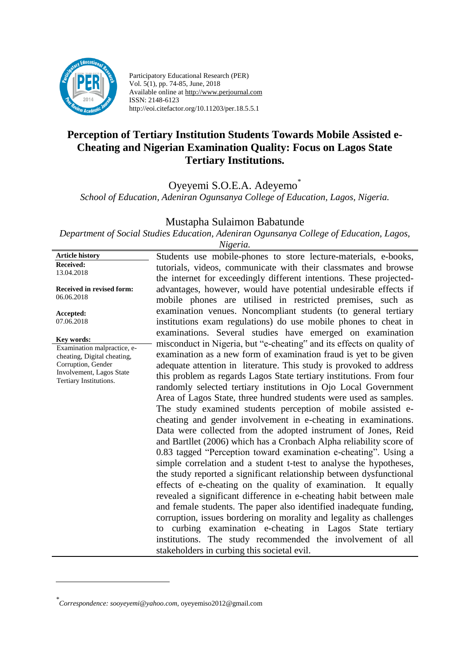

Participatory Educational Research (PER) Vol. 5(1), pp. 74-85, June, 2018 Available online at http://www.perjournal.com ISSN: 2148-6123 http://eoi.citefactor.org/10.11203/per.18.5.5.1

# **Perception of Tertiary Institution Students Towards Mobile Assisted e-Cheating and Nigerian Examination Quality: Focus on Lagos State Tertiary Institutions.**

Oyeyemi S.O.E.A. Adeyemo\*

*School of Education, Adeniran Ogunsanya College of Education, Lagos, Nigeria.*

Mustapha Sulaimon Babatunde

*Department of Social Studies Education, Adeniran Ogunsanya College of Education, Lagos,*

*Nigeria.*

**Article history Received:**  13.04.2018 **Received in revised form:**  06.06.2018 **Accepted:** 07.06.2018 Students use mobile-phones to store lecture-materials, e-books, tutorials, videos, communicate with their classmates and browse the internet for exceedingly different intentions. These projectedadvantages, however, would have potential undesirable effects if mobile phones are utilised in restricted premises, such as examination venues. Noncompliant students (to general tertiary institutions exam regulations) do use mobile phones to cheat in examinations. Several studies have emerged on examination misconduct in Nigeria, but "e-cheating" and its effects on quality of examination as a new form of examination fraud is yet to be given adequate attention in literature. This study is provoked to address this problem as regards Lagos State tertiary institutions. From four randomly selected tertiary institutions in Ojo Local Government Area of Lagos State, three hundred students were used as samples. The study examined students perception of mobile assisted echeating and gender involvement in e-cheating in examinations. Data were collected from the adopted instrument of Jones, Reid and Bartllet (2006) which has a Cronbach Alpha reliability score of 0.83 tagged "Perception toward examination e-cheating". Using a simple correlation and a student t-test to analyse the hypotheses, the study reported a significant relationship between dysfunctional effects of e-cheating on the quality of examination. It equally revealed a significant difference in e-cheating habit between male and female students. The paper also identified inadequate funding, corruption, issues bordering on morality and legality as challenges to curbing examination e-cheating in Lagos State tertiary institutions. The study recommended the involvement of all stakeholders in curbing this societal evil. **Key words:** Examination malpractice, echeating, Digital cheating, Corruption, Gender Involvement, Lagos State Tertiary Institutions.

<u>.</u>

*<sup>\*</sup> Correspondence: sooyeyemi@yahoo.com,* [oyeyemiso2012@gmail.com](mailto:oyeyemiso2012@gmail.com)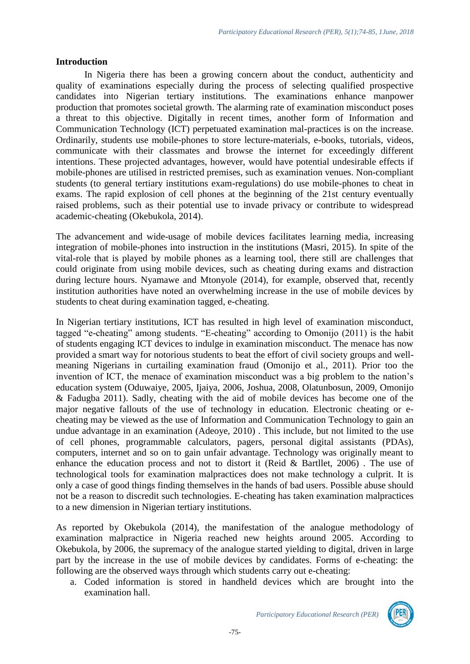#### **Introduction**

In Nigeria there has been a growing concern about the conduct, authenticity and quality of examinations especially during the process of selecting qualified prospective candidates into Nigerian tertiary institutions. The examinations enhance manpower production that promotes societal growth. The alarming rate of examination misconduct poses a threat to this objective. Digitally in recent times, another form of Information and Communication Technology (ICT) perpetuated examination mal-practices is on the increase. Ordinarily, students use mobile-phones to store lecture-materials, e-books, tutorials, videos, communicate with their classmates and browse the internet for exceedingly different intentions. These projected advantages, however, would have potential undesirable effects if mobile-phones are utilised in restricted premises, such as examination venues. Non-compliant students (to general tertiary institutions exam-regulations) do use mobile-phones to cheat in exams. The rapid explosion of cell phones at the beginning of the 21st century eventually raised problems, such as their potential use to invade privacy or contribute to widespread academic-cheating (Okebukola, 2014).

The advancement and wide-usage of mobile devices facilitates learning media, increasing integration of mobile-phones into instruction in the institutions (Masri, 2015). In spite of the vital-role that is played by mobile phones as a learning tool, there still are challenges that could originate from using mobile devices, such as cheating during exams and distraction during lecture hours. Nyamawe and Mtonyole (2014), for example, observed that, recently institution authorities have noted an overwhelming increase in the use of mobile devices by students to cheat during examination tagged, e-cheating.

In Nigerian tertiary institutions, ICT has resulted in high level of examination misconduct, tagged "e-cheating" among students. "E-cheating" according to Omonijo (2011) is the habit of students engaging ICT devices to indulge in examination misconduct. The menace has now provided a smart way for notorious students to beat the effort of civil society groups and wellmeaning Nigerians in curtailing examination fraud (Omonijo et al., 2011). Prior too the invention of ICT, the menace of examination misconduct was a big problem to the nation's education system (Oduwaiye, 2005, Ijaiya, 2006, Joshua, 2008, Olatunbosun, 2009, Omonijo & Fadugba 2011). Sadly, cheating with the aid of mobile devices has become one of the major negative fallouts of the use of technology in education. Electronic cheating or echeating may be viewed as the use of Information and Communication Technology to gain an undue advantage in an examination (Adeoye, 2010) . This include, but not limited to the use of cell phones, programmable calculators, pagers, personal digital assistants (PDAs), computers, internet and so on to gain unfair advantage. Technology was originally meant to enhance the education process and not to distort it (Reid & Bartllet, 2006) . The use of technological tools for examination malpractices does not make technology a culprit. It is only a case of good things finding themselves in the hands of bad users. Possible abuse should not be a reason to discredit such technologies. E-cheating has taken examination malpractices to a new dimension in Nigerian tertiary institutions.

As reported by Okebukola (2014), the manifestation of the analogue methodology of examination malpractice in Nigeria reached new heights around 2005. According to Okebukola, by 2006, the supremacy of the analogue started yielding to digital, driven in large part by the increase in the use of mobile devices by candidates. Forms of e-cheating: the following are the observed ways through which students carry out e-cheating:

a. Coded information is stored in handheld devices which are brought into the examination hall.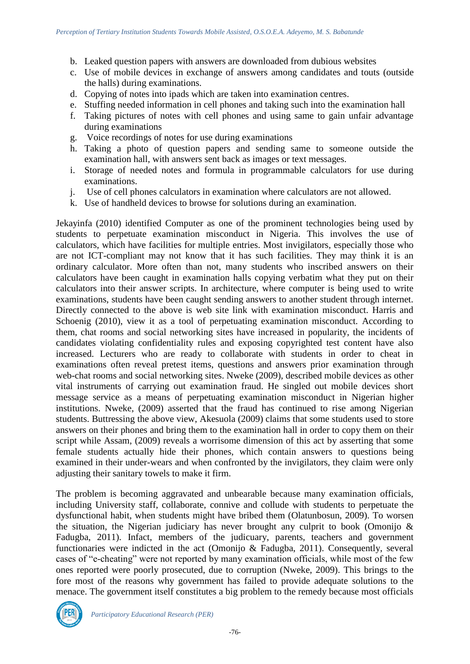- b. Leaked question papers with answers are downloaded from dubious websites
- c. Use of mobile devices in exchange of answers among candidates and touts (outside the halls) during examinations.
- d. Copying of notes into ipads which are taken into examination centres.
- e. Stuffing needed information in cell phones and taking such into the examination hall
- f. Taking pictures of notes with cell phones and using same to gain unfair advantage during examinations
- g. Voice recordings of notes for use during examinations
- h. Taking a photo of question papers and sending same to someone outside the examination hall, with answers sent back as images or text messages.
- i. Storage of needed notes and formula in programmable calculators for use during examinations.
- j. Use of cell phones calculators in examination where calculators are not allowed.
- k. Use of handheld devices to browse for solutions during an examination.

Jekayinfa (2010) identified Computer as one of the prominent technologies being used by students to perpetuate examination misconduct in Nigeria. This involves the use of calculators, which have facilities for multiple entries. Most invigilators, especially those who are not ICT-compliant may not know that it has such facilities. They may think it is an ordinary calculator. More often than not, many students who inscribed answers on their calculators have been caught in examination halls copying verbatim what they put on their calculators into their answer scripts. In architecture, where computer is being used to write examinations, students have been caught sending answers to another student through internet. Directly connected to the above is web site link with examination misconduct. Harris and Schoenig (2010), view it as a tool of perpetuating examination misconduct. According to them, chat rooms and social networking sites have increased in popularity, the incidents of candidates violating confidentiality rules and exposing copyrighted test content have also increased. Lecturers who are ready to collaborate with students in order to cheat in examinations often reveal pretest items, questions and answers prior examination through web-chat rooms and social networking sites. Nweke (2009), described mobile devices as other vital instruments of carrying out examination fraud. He singled out mobile devices short message service as a means of perpetuating examination misconduct in Nigerian higher institutions. Nweke, (2009) asserted that the fraud has continued to rise among Nigerian students. Buttressing the above view, Akesuola (2009) claims that some students used to store answers on their phones and bring them to the examination hall in order to copy them on their script while Assam, (2009) reveals a worrisome dimension of this act by asserting that some female students actually hide their phones, which contain answers to questions being examined in their under-wears and when confronted by the invigilators, they claim were only adjusting their sanitary towels to make it firm.

The problem is becoming aggravated and unbearable because many examination officials, including University staff, collaborate, connive and collude with students to perpetuate the dysfunctional habit, when students might have bribed them (Olatunbosun, 2009). To worsen the situation, the Nigerian judiciary has never brought any culprit to book (Omonijo & Fadugba, 2011). Infact, members of the judicuary, parents, teachers and government functionaries were indicted in the act (Omonijo & Fadugba, 2011). Consequently, several cases of "e-cheating" were not reported by many examination officials, while most of the few ones reported were poorly prosecuted, due to corruption (Nweke, 2009). This brings to the fore most of the reasons why government has failed to provide adequate solutions to the menace. The government itself constitutes a big problem to the remedy because most officials

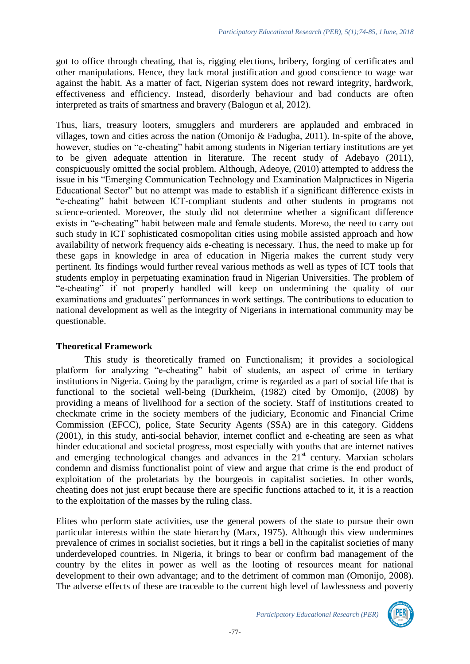got to office through cheating, that is, rigging elections, bribery, forging of certificates and other manipulations. Hence, they lack moral justification and good conscience to wage war against the habit. As a matter of fact, Nigerian system does not reward integrity, hardwork, effectiveness and efficiency. Instead, disorderly behaviour and bad conducts are often interpreted as traits of smartness and bravery (Balogun et al, 2012).

Thus, liars, treasury looters, smugglers and murderers are applauded and embraced in villages, town and cities across the nation (Omonijo & Fadugba, 2011). In-spite of the above, however, studies on "e-cheating" habit among students in Nigerian tertiary institutions are yet to be given adequate attention in literature. The recent study of Adebayo (2011), conspicuously omitted the social problem. Although, Adeoye, (2010) attempted to address the issue in his "Emerging Communication Technology and Examination Malpractices in Nigeria Educational Sector" but no attempt was made to establish if a significant difference exists in "e-cheating" habit between ICT-compliant students and other students in programs not science-oriented. Moreover, the study did not determine whether a significant difference exists in "e-cheating" habit between male and female students. Moreso, the need to carry out such study in ICT sophisticated cosmopolitan cities using mobile assisted approach and how availability of network frequency aids e-cheating is necessary. Thus, the need to make up for these gaps in knowledge in area of education in Nigeria makes the current study very pertinent. Its findings would further reveal various methods as well as types of ICT tools that students employ in perpetuating examination fraud in Nigerian Universities. The problem of "e-cheating" if not properly handled will keep on undermining the quality of our examinations and graduates" performances in work settings. The contributions to education to national development as well as the integrity of Nigerians in international community may be questionable.

#### **Theoretical Framework**

This study is theoretically framed on Functionalism; it provides a sociological platform for analyzing "e-cheating" habit of students, an aspect of crime in tertiary institutions in Nigeria. Going by the paradigm, crime is regarded as a part of social life that is functional to the societal well-being (Durkheim, (1982) cited by Omonijo, (2008) by providing a means of livelihood for a section of the society. Staff of institutions created to checkmate crime in the society members of the judiciary, Economic and Financial Crime Commission (EFCC), police, State Security Agents (SSA) are in this category. Giddens (2001), in this study, anti-social behavior, internet conflict and e-cheating are seen as what hinder educational and societal progress, most especially with youths that are internet natives and emerging technological changes and advances in the  $21<sup>st</sup>$  century. Marxian scholars condemn and dismiss functionalist point of view and argue that crime is the end product of exploitation of the proletariats by the bourgeois in capitalist societies. In other words, cheating does not just erupt because there are specific functions attached to it, it is a reaction to the exploitation of the masses by the ruling class.

Elites who perform state activities, use the general powers of the state to pursue their own particular interests within the state hierarchy (Marx, 1975). Although this view undermines prevalence of crimes in socialist societies, but it rings a bell in the capitalist societies of many underdeveloped countries. In Nigeria, it brings to bear or confirm bad management of the country by the elites in power as well as the looting of resources meant for national development to their own advantage; and to the detriment of common man (Omonijo, 2008). The adverse effects of these are traceable to the current high level of lawlessness and poverty

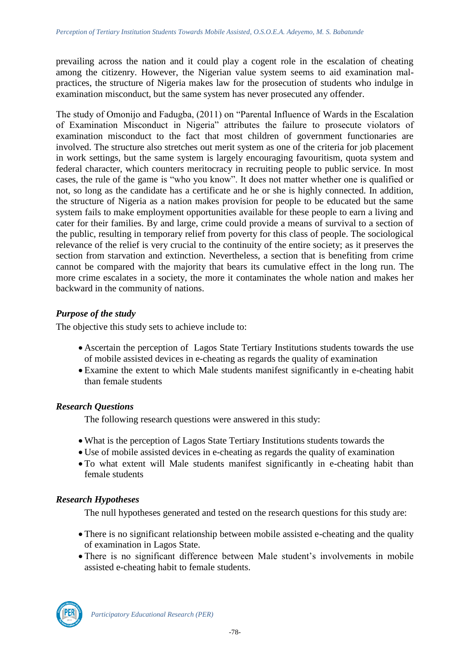prevailing across the nation and it could play a cogent role in the escalation of cheating among the citizenry. However, the Nigerian value system seems to aid examination malpractices, the structure of Nigeria makes law for the prosecution of students who indulge in examination misconduct, but the same system has never prosecuted any offender.

The study of Omonijo and Fadugba, (2011) on "Parental Influence of Wards in the Escalation of Examination Misconduct in Nigeria" attributes the failure to prosecute violators of examination misconduct to the fact that most children of government functionaries are involved. The structure also stretches out merit system as one of the criteria for job placement in work settings, but the same system is largely encouraging favouritism, quota system and federal character, which counters meritocracy in recruiting people to public service. In most cases, the rule of the game is "who you know". It does not matter whether one is qualified or not, so long as the candidate has a certificate and he or she is highly connected. In addition, the structure of Nigeria as a nation makes provision for people to be educated but the same system fails to make employment opportunities available for these people to earn a living and cater for their families. By and large, crime could provide a means of survival to a section of the public, resulting in temporary relief from poverty for this class of people. The sociological relevance of the relief is very crucial to the continuity of the entire society; as it preserves the section from starvation and extinction. Nevertheless, a section that is benefiting from crime cannot be compared with the majority that bears its cumulative effect in the long run. The more crime escalates in a society, the more it contaminates the whole nation and makes her backward in the community of nations.

## *Purpose of the study*

The objective this study sets to achieve include to:

- Ascertain the perception of Lagos State Tertiary Institutions students towards the use of mobile assisted devices in e-cheating as regards the quality of examination
- Examine the extent to which Male students manifest significantly in e-cheating habit than female students

## *Research Questions*

The following research questions were answered in this study:

- What is the perception of Lagos State Tertiary Institutions students towards the
- Use of mobile assisted devices in e-cheating as regards the quality of examination
- To what extent will Male students manifest significantly in e-cheating habit than female students

## *Research Hypotheses*

The null hypotheses generated and tested on the research questions for this study are:

- There is no significant relationship between mobile assisted e-cheating and the quality of examination in Lagos State.
- There is no significant difference between Male student's involvements in mobile assisted e-cheating habit to female students.

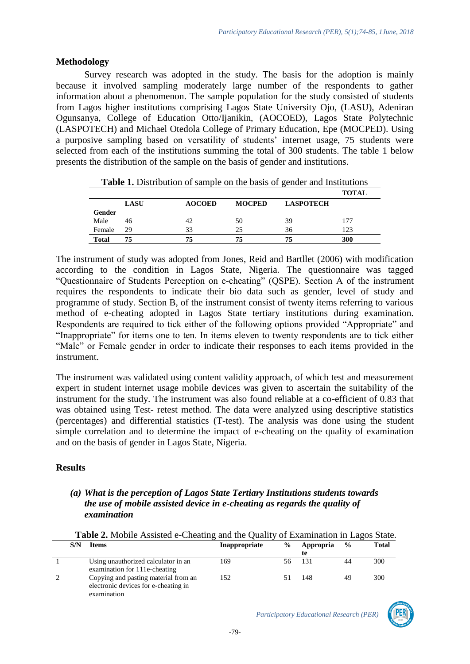### **Methodology**

Survey research was adopted in the study. The basis for the adoption is mainly because it involved sampling moderately large number of the respondents to gather information about a phenomenon. The sample population for the study consisted of students from Lagos higher institutions comprising Lagos State University Ojo, (LASU), Adeniran Ogunsanya, College of Education Otto/Ijanikin, (AOCOED), Lagos State Polytechnic (LASPOTECH) and Michael Otedola College of Primary Education, Epe (MOCPED). Using a purposive sampling based on versatility of students' internet usage, 75 students were selected from each of the institutions summing the total of 300 students. The table 1 below presents the distribution of the sample on the basis of gender and institutions.

|        |             |               |               |                  | <b>TOTAL</b> |
|--------|-------------|---------------|---------------|------------------|--------------|
|        | <b>LASU</b> | <b>AOCOED</b> | <b>MOCPED</b> | <b>LASPOTECH</b> |              |
| Gender |             |               |               |                  |              |
| Male   | 46          | 42            | 50            | 39               | 177          |
| Female | 29          | 33            | 25            | 36               | 123          |
| Total  | 75          | 75            | 75            | 75               | 300          |

**Table 1.** Distribution of sample on the basis of gender and Institutions

The instrument of study was adopted from Jones, Reid and Bartllet (2006) with modification according to the condition in Lagos State, Nigeria. The questionnaire was tagged "Questionnaire of Students Perception on e-cheating" (QSPE). Section A of the instrument requires the respondents to indicate their bio data such as gender, level of study and programme of study. Section B, of the instrument consist of twenty items referring to various method of e-cheating adopted in Lagos State tertiary institutions during examination. Respondents are required to tick either of the following options provided "Appropriate" and "Inappropriate" for items one to ten. In items eleven to twenty respondents are to tick either "Male" or Female gender in order to indicate their responses to each items provided in the instrument.

The instrument was validated using content validity approach, of which test and measurement expert in student internet usage mobile devices was given to ascertain the suitability of the instrument for the study. The instrument was also found reliable at a co-efficient of 0.83 that was obtained using Test- retest method. The data were analyzed using descriptive statistics (percentages) and differential statistics (T-test). The analysis was done using the student simple correlation and to determine the impact of e-cheating on the quality of examination and on the basis of gender in Lagos State, Nigeria.

## **Results**

### *(a) What is the perception of Lagos State Tertiary Institutions students towards the use of mobile assisted device in e-cheating as regards the quality of examination*

| S/N | Items                                                                                       | Inappropriate | $\frac{6}{9}$ | Appropria<br>te | $\frac{6}{9}$ | <b>Total</b> |
|-----|---------------------------------------------------------------------------------------------|---------------|---------------|-----------------|---------------|--------------|
|     | Using unauthorized calculator in an<br>examination for 111e-cheating                        | 169           | 56.           | 131             |               | 300          |
|     | Copying and pasting material from an<br>electronic devices for e-cheating in<br>examination | 152           |               | 148             | 49            | 300          |

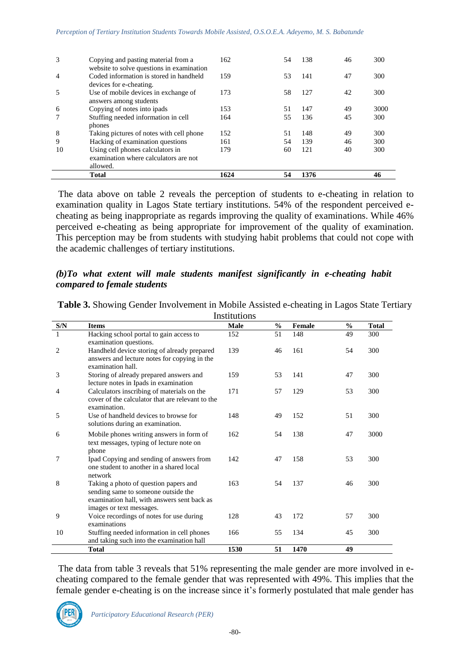|    | <b>Total</b>                                                                         | 1624 | 54 | 1376 |    |      |
|----|--------------------------------------------------------------------------------------|------|----|------|----|------|
|    | allowed.                                                                             |      |    |      |    |      |
|    | examination where calculators are not                                                |      |    |      |    |      |
| 10 | Using cell phones calculators in                                                     | 179  | 60 | 121  | 40 | 300  |
| 9  | Hacking of examination questions                                                     | 161  | 54 | 139  | 46 | 300  |
| 8  | phones<br>Taking pictures of notes with cell phone                                   | 152  | 51 | 148  | 49 | 300  |
|    | Stuffing needed information in cell                                                  | 164  | 55 | 136  | 45 | 300  |
| 6  | answers among students<br>Copying of notes into ipads                                | 153  | 51 | 147  | 49 | 3000 |
|    | devices for e-cheating.<br>Use of mobile devices in exchange of                      | 173  | 58 | 127  | 42 | 300  |
| 4  | website to solve questions in examination<br>Coded information is stored in handheld | 159  | 53 | 141  | 47 | 300  |
| 3  | Copying and pasting material from a                                                  | 162  | 54 | 138  | 46 | 300  |

The data above on table 2 reveals the perception of students to e-cheating in relation to examination quality in Lagos State tertiary institutions. 54% of the respondent perceived echeating as being inappropriate as regards improving the quality of examinations. While 46% perceived e-cheating as being appropriate for improvement of the quality of examination. This perception may be from students with studying habit problems that could not cope with the academic challenges of tertiary institutions.

### *(b)To what extent will male students manifest significantly in e-cheating habit compared to female students*

|     | Institutions                                                                                                                                            |             |               |        |               |              |  |  |
|-----|---------------------------------------------------------------------------------------------------------------------------------------------------------|-------------|---------------|--------|---------------|--------------|--|--|
| S/N | <b>Items</b>                                                                                                                                            | <b>Male</b> | $\frac{6}{6}$ | Female | $\frac{0}{0}$ | <b>Total</b> |  |  |
| 1   | Hacking school portal to gain access to<br>examination questions.                                                                                       | 152         | 51            | 148    | 49            | 300          |  |  |
| 2   | Handheld device storing of already prepared<br>answers and lecture notes for copying in the<br>examination hall.                                        | 139         | 46            | 161    | 54            | 300          |  |  |
| 3   | Storing of already prepared answers and<br>lecture notes in Ipads in examination                                                                        | 159         | 53            | 141    | 47            | 300          |  |  |
| 4   | Calculators inscribing of materials on the<br>cover of the calculator that are relevant to the<br>examination.                                          | 171         | 57            | 129    | 53            | 300          |  |  |
| 5   | Use of handheld devices to browse for<br>solutions during an examination.                                                                               | 148         | 49            | 152    | 51            | 300          |  |  |
| 6   | Mobile phones writing answers in form of<br>text messages, typing of lecture note on<br>phone                                                           | 162         | 54            | 138    | 47            | 3000         |  |  |
| 7   | Ipad Copying and sending of answers from<br>one student to another in a shared local<br>network                                                         | 142         | 47            | 158    | 53            | 300          |  |  |
| 8   | Taking a photo of question papers and<br>sending same to someone outside the<br>examination hall, with answers sent back as<br>images or text messages. | 163         | 54            | 137    | 46            | 300          |  |  |
| 9   | Voice recordings of notes for use during<br>examinations                                                                                                | 128         | 43            | 172    | 57            | 300          |  |  |
| 10  | Stuffing needed information in cell phones<br>and taking such into the examination hall                                                                 | 166         | 55            | 134    | 45            | 300          |  |  |
|     | <b>Total</b>                                                                                                                                            | 1530        | 51            | 1470   | 49            |              |  |  |

**Table 3.** Showing Gender Involvement in Mobile Assisted e-cheating in Lagos State Tertiary

The data from table 3 reveals that 51% representing the male gender are more involved in echeating compared to the female gender that was represented with 49%. This implies that the female gender e-cheating is on the increase since it's formerly postulated that male gender has

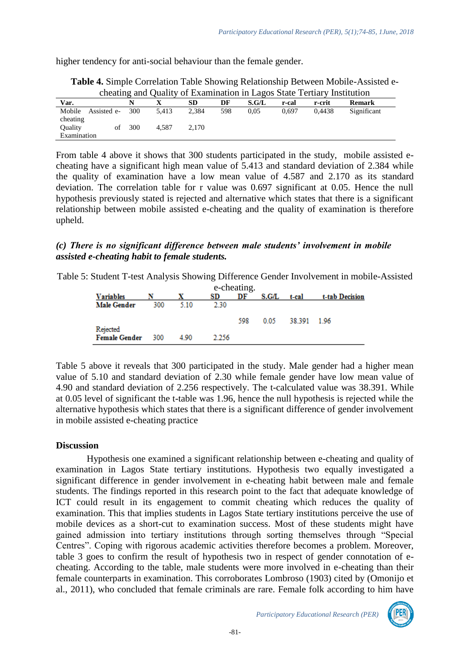higher tendency for anti-social behaviour than the female gender.

|                                     |     |       |       |     |       |       | cheating and Quality of Examination in Lagos State Tertiary Institution |               |
|-------------------------------------|-----|-------|-------|-----|-------|-------|-------------------------------------------------------------------------|---------------|
| Var.                                |     |       | SD    | DF  | S.G/L | r-cal | r-crit                                                                  | <b>Remark</b> |
| Mobile<br>Assisted e-<br>cheating   | 300 | 5.413 | 2.384 | 598 | 0.05  | 0.697 | 0.4438                                                                  | Significant   |
| <b>Ouality</b><br>οf<br>Examination | 300 | 4.587 | 2.170 |     |       |       |                                                                         |               |

**Table 4.** Simple Correlation Table Showing Relationship Between Mobile-Assisted echeating and Quality of Examination in Lagos State Tertiary Institution

From table 4 above it shows that 300 students participated in the study, mobile assisted echeating have a significant high mean value of 5.413 and standard deviation of 2.384 while the quality of examination have a low mean value of 4.587 and 2.170 as its standard deviation. The correlation table for r value was 0.697 significant at 0.05. Hence the null hypothesis previously stated is rejected and alternative which states that there is a significant relationship between mobile assisted e-cheating and the quality of examination is therefore upheld.

## *(c) There is no significant difference between male students' involvement in mobile assisted e-cheating habit to female students.*

Table 5: Student T-test Analysis Showing Difference Gender Involvement in mobile-Assisted

| e-cheating.                      |     |       |       |     |       |             |                |  |  |  |
|----------------------------------|-----|-------|-------|-----|-------|-------------|----------------|--|--|--|
| <b>Variables</b>                 |     |       | SD    | DF  | S.G/L | t-cal       | t-tab Decision |  |  |  |
| <b>Male Gender</b>               | 300 | 5.10  | 2.30  |     |       |             |                |  |  |  |
|                                  |     |       |       | 598 | 0.05  | 38.391 1.96 |                |  |  |  |
| Rejected<br><b>Female Gender</b> | 300 | 4 9 0 | 2.256 |     |       |             |                |  |  |  |

Table 5 above it reveals that 300 participated in the study. Male gender had a higher mean value of 5.10 and standard deviation of 2.30 while female gender have low mean value of 4.90 and standard deviation of 2.256 respectively. The t-calculated value was 38.391. While at 0.05 level of significant the t-table was 1.96, hence the null hypothesis is rejected while the alternative hypothesis which states that there is a significant difference of gender involvement in mobile assisted e-cheating practice

## **Discussion**

Hypothesis one examined a significant relationship between e-cheating and quality of examination in Lagos State tertiary institutions. Hypothesis two equally investigated a significant difference in gender involvement in e-cheating habit between male and female students. The findings reported in this research point to the fact that adequate knowledge of ICT could result in its engagement to commit cheating which reduces the quality of examination. This that implies students in Lagos State tertiary institutions perceive the use of mobile devices as a short-cut to examination success. Most of these students might have gained admission into tertiary institutions through sorting themselves through "Special Centres". Coping with rigorous academic activities therefore becomes a problem. Moreover, table 3 goes to confirm the result of hypothesis two in respect of gender connotation of echeating. According to the table, male students were more involved in e-cheating than their female counterparts in examination. This corroborates Lombroso (1903) cited by (Omonijo et al., 2011), who concluded that female criminals are rare. Female folk according to him have

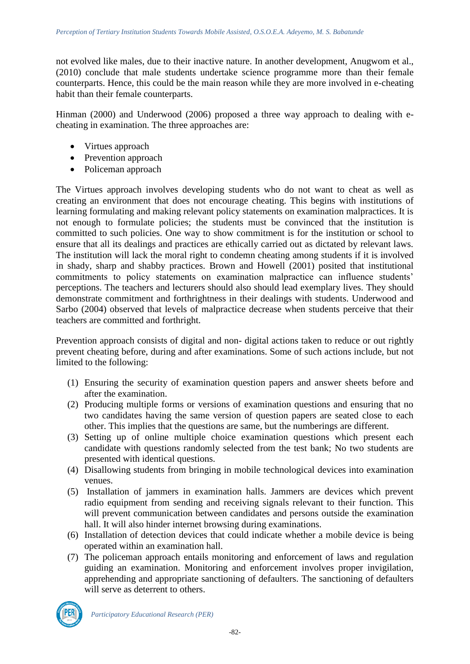not evolved like males, due to their inactive nature. In another development, Anugwom et al., (2010) conclude that male students undertake science programme more than their female counterparts. Hence, this could be the main reason while they are more involved in e-cheating habit than their female counterparts.

Hinman (2000) and Underwood (2006) proposed a three way approach to dealing with echeating in examination. The three approaches are:

- Virtues approach
- Prevention approach
- Policeman approach

The Virtues approach involves developing students who do not want to cheat as well as creating an environment that does not encourage cheating. This begins with institutions of learning formulating and making relevant policy statements on examination malpractices. It is not enough to formulate policies; the students must be convinced that the institution is committed to such policies. One way to show commitment is for the institution or school to ensure that all its dealings and practices are ethically carried out as dictated by relevant laws. The institution will lack the moral right to condemn cheating among students if it is involved in shady, sharp and shabby practices. Brown and Howell (2001) posited that institutional commitments to policy statements on examination malpractice can influence students' perceptions. The teachers and lecturers should also should lead exemplary lives. They should demonstrate commitment and forthrightness in their dealings with students. Underwood and Sarbo (2004) observed that levels of malpractice decrease when students perceive that their teachers are committed and forthright.

Prevention approach consists of digital and non- digital actions taken to reduce or out rightly prevent cheating before, during and after examinations. Some of such actions include, but not limited to the following:

- (1) Ensuring the security of examination question papers and answer sheets before and after the examination.
- (2) Producing multiple forms or versions of examination questions and ensuring that no two candidates having the same version of question papers are seated close to each other. This implies that the questions are same, but the numberings are different.
- (3) Setting up of online multiple choice examination questions which present each candidate with questions randomly selected from the test bank; No two students are presented with identical questions.
- (4) Disallowing students from bringing in mobile technological devices into examination venues.
- (5) Installation of jammers in examination halls. Jammers are devices which prevent radio equipment from sending and receiving signals relevant to their function. This will prevent communication between candidates and persons outside the examination hall. It will also hinder internet browsing during examinations.
- (6) Installation of detection devices that could indicate whether a mobile device is being operated within an examination hall.
- (7) The policeman approach entails monitoring and enforcement of laws and regulation guiding an examination. Monitoring and enforcement involves proper invigilation, apprehending and appropriate sanctioning of defaulters. The sanctioning of defaulters will serve as deterrent to others.

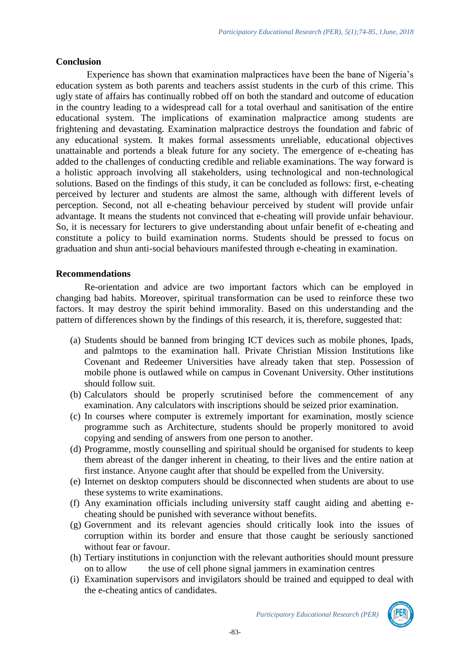### **Conclusion**

Experience has shown that examination malpractices have been the bane of Nigeria's education system as both parents and teachers assist students in the curb of this crime. This ugly state of affairs has continually robbed off on both the standard and outcome of education in the country leading to a widespread call for a total overhaul and sanitisation of the entire educational system. The implications of examination malpractice among students are frightening and devastating. Examination malpractice destroys the foundation and fabric of any educational system. It makes formal assessments unreliable, educational objectives unattainable and portends a bleak future for any society. The emergence of e-cheating has added to the challenges of conducting credible and reliable examinations. The way forward is a holistic approach involving all stakeholders, using technological and non-technological solutions. Based on the findings of this study, it can be concluded as follows: first, e-cheating perceived by lecturer and students are almost the same, although with different levels of perception. Second, not all e-cheating behaviour perceived by student will provide unfair advantage. It means the students not convinced that e-cheating will provide unfair behaviour. So, it is necessary for lecturers to give understanding about unfair benefit of e-cheating and constitute a policy to build examination norms. Students should be pressed to focus on graduation and shun anti-social behaviours manifested through e-cheating in examination.

## **Recommendations**

Re-orientation and advice are two important factors which can be employed in changing bad habits. Moreover, spiritual transformation can be used to reinforce these two factors. It may destroy the spirit behind immorality. Based on this understanding and the pattern of differences shown by the findings of this research, it is, therefore, suggested that:

- (a) Students should be banned from bringing ICT devices such as mobile phones, Ipads, and palmtops to the examination hall. Private Christian Mission Institutions like Covenant and Redeemer Universities have already taken that step. Possession of mobile phone is outlawed while on campus in Covenant University. Other institutions should follow suit.
- (b) Calculators should be properly scrutinised before the commencement of any examination. Any calculators with inscriptions should be seized prior examination.
- (c) In courses where computer is extremely important for examination, mostly science programme such as Architecture, students should be properly monitored to avoid copying and sending of answers from one person to another.
- (d) Programme, mostly counselling and spiritual should be organised for students to keep them abreast of the danger inherent in cheating, to their lives and the entire nation at first instance. Anyone caught after that should be expelled from the University.
- (e) Internet on desktop computers should be disconnected when students are about to use these systems to write examinations.
- (f) Any examination officials including university staff caught aiding and abetting echeating should be punished with severance without benefits.
- (g) Government and its relevant agencies should critically look into the issues of corruption within its border and ensure that those caught be seriously sanctioned without fear or favour.
- (h) Tertiary institutions in conjunction with the relevant authorities should mount pressure on to allow the use of cell phone signal jammers in examination centres
- (i) Examination supervisors and invigilators should be trained and equipped to deal with the e-cheating antics of candidates.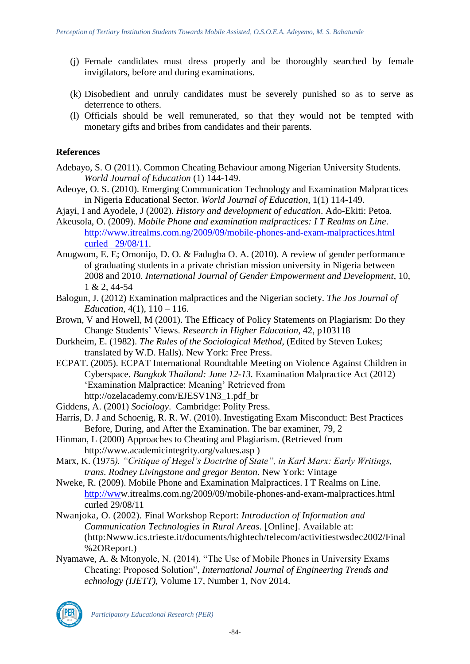- (j) Female candidates must dress properly and be thoroughly searched by female invigilators, before and during examinations.
- (k) Disobedient and unruly candidates must be severely punished so as to serve as deterrence to others.
- (l) Officials should be well remunerated, so that they would not be tempted with monetary gifts and bribes from candidates and their parents.

## **References**

- Adebayo, S. O (2011). Common Cheating Behaviour among Nigerian University Students. *World Journal of Education* (1) 144-149.
- Adeoye, O. S. (2010). Emerging Communication Technology and Examination Malpractices in Nigeria Educational Sector. *World Journal of Education,* 1(1) 114-149.
- Ajayi, I and Ayodele, J (2002). *History and development of education*. Ado-Ekiti: Petoa.
- Akeusola, O. (2009). *Mobile Phone and examination malpractices: I T Realms on Line*. [http://www.itrealms.com.ng/2009/09/mobile-phones-and-exam-malpractices.html](http://www.itrealms.com.ng/2009/09/mobile-phones-and-exam-malpractices.html%20curled%20%20%2029/08/11)  [curled 29/08/11.](http://www.itrealms.com.ng/2009/09/mobile-phones-and-exam-malpractices.html%20curled%20%20%2029/08/11)
- Anugwom, E. E; Omonijo, D. O. & Fadugba O. A. (2010). A review of gender performance of graduating students in a private christian mission university in Nigeria between 2008 and 2010. *International Journal of Gender Empowerment and Development*, 10, 1 & 2, 44-54
- Balogun, J. (2012) Examination malpractices and the Nigerian society. *The Jos Journal of Education*, 4(1), 110 – 116.
- Brown, V and Howell, M (2001). The Efficacy of Policy Statements on Plagiarism: Do they Change Students' Views. *Research in Higher Education*, 42, p103118
- Durkheim, E. (1982). *The Rules of the Sociological Method*, (Edited by Steven Lukes; translated by W.D. Halls). New York: Free Press.
- ECPAT. (2005). ECPAT International Roundtable Meeting on Violence Against Children in Cyberspace. *Bangkok Thailand: June 12-13.* Examination Malpractice Act (2012) 'Examination Malpractice: Meaning' Retrieved from http://ozelacademy.com/EJESV1N3\_1.pdf\_br
- Giddens, A. (2001) *Sociology*. Cambridge: Polity Press.
- Harris, D. J and Schoenig, R. R. W. (2010). Investigating Exam Misconduct: Best Practices Before, During, and After the Examination. The bar examiner, 79, 2
- Hinman, L (2000) Approaches to Cheating and Plagiarism. (Retrieved from http://www.academicintegrity.org/values.asp )
- Marx, K. (1975*). "Critique of Hegel's Doctrine of State", in Karl Marx: Early Writings, trans. Rodney Livingstone and gregor Benton*. New York: Vintage
- Nweke, R. (2009). Mobile Phone and Examination Malpractices. I T Realms on Line. [http://www](http://ww/).itrealms.com.ng/2009/09/mobile-phones-and-exam-malpractices.html curled 29/08/11
- Nwanjoka, O. (2002). Final Workshop Report: *Introduction of Information and Communication Technologies in Rural Areas.* [Online]. Available at: (http:Nwww.ics.trieste.it/documents/hightech/telecom/activitiestwsdec2002/Final %2OReport.)
- Nyamawe, A. & Mtonyole, N. (2014). "The Use of Mobile Phones in University Exams Cheating: Proposed Solution", *International Journal of Engineering Trends and echnology (IJETT),* Volume 17, Number 1, Nov 2014.